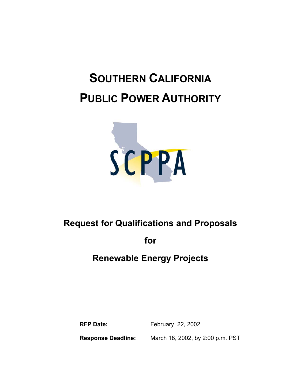# **SOUTHERN CALIFORNIA PUBLIC POWER AUTHORITY**



# **Request for Qualifications and Proposals**

**for** 

# **Renewable Energy Projects**

**RFP Date:** February 22, 2002 **Response Deadline:** March 18, 2002, by 2:00 p.m. PST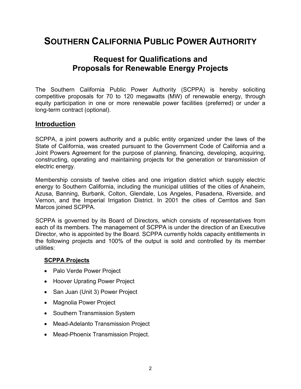# **SOUTHERN CALIFORNIA PUBLIC POWER AUTHORITY**

## **Request for Qualifications and Proposals for Renewable Energy Projects**

The Southern California Public Power Authority (SCPPA) is hereby soliciting competitive proposals for 70 to 120 megawatts (MW) of renewable energy, through equity participation in one or more renewable power facilities (preferred) or under a long-term contract (optional).

#### **Introduction**

SCPPA, a joint powers authority and a public entity organized under the laws of the State of California, was created pursuant to the Government Code of California and a Joint Powers Agreement for the purpose of planning, financing, developing, acquiring, constructing, operating and maintaining projects for the generation or transmission of electric energy.

Membership consists of twelve cities and one irrigation district which supply electric energy to Southern California, including the municipal utilities of the cities of Anaheim, Azusa, Banning, Burbank, Colton, Glendale, Los Angeles, Pasadena, Riverside, and Vernon, and the Imperial Irrigation District. In 2001 the cities of Cerritos and San Marcos joined SCPPA.

SCPPA is governed by its Board of Directors, which consists of representatives from each of its members. The management of SCPPA is under the direction of an Executive Director, who is appointed by the Board. SCPPA currently holds capacity entitlements in the following projects and 100% of the output is sold and controlled by its member utilities:

#### **SCPPA Projects**

- Palo Verde Power Project
- Hoover Uprating Power Project
- San Juan (Unit 3) Power Project
- Magnolia Power Project
- Southern Transmission System
- Mead-Adelanto Transmission Project
- Mead-Phoenix Transmission Project.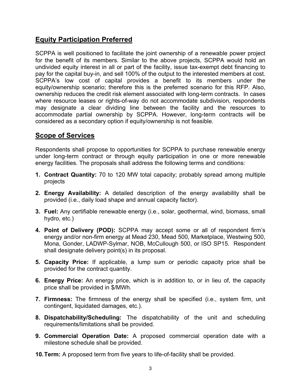## **Equity Participation Preferred**

SCPPA is well positioned to facilitate the joint ownership of a renewable power project for the benefit of its members. Similar to the above projects, SCPPA would hold an undivided equity interest in all or part of the facility, issue tax-exempt debt financing to pay for the capital buy-in, and sell 100% of the output to the interested members at cost. SCPPA's low cost of capital provides a benefit to its members under the equity/ownership scenario; therefore this is the preferred scenario for this RFP. Also, ownership reduces the credit risk element associated with long-term contracts. In cases where resource leases or rights-of-way do not accommodate subdivision, respondents may designate a clear dividing line between the facility and the resources to accommodate partial ownership by SCPPA. However, long-term contracts will be considered as a secondary option if equity/ownership is not feasible.

### **Scope of Services**

Respondents shall propose to opportunities for SCPPA to purchase renewable energy under long-term contract or through equity participation in one or more renewable energy facilities. The proposals shall address the following terms and conditions:

- **1. Contract Quantity:** 70 to 120 MW total capacity; probably spread among multiple projects
- **2. Energy Availability:** A detailed description of the energy availability shall be provided (i.e., daily load shape and annual capacity factor).
- **3. Fuel:** Any certifiable renewable energy (i.e., solar, geothermal, wind, biomass, small hydro, etc.)
- **4. Point of Delivery (POD):** SCPPA may accept some or all of respondent firm's energy and/or non-firm energy at Mead 230, Mead 500, Marketplace, Westwing 500, Mona, Gonder, LADWP-Sylmar, NOB, McCullough 500, or ISO SP15. Respondent shall designate delivery point(s) in its proposal.
- **5. Capacity Price:** If applicable, a lump sum or periodic capacity price shall be provided for the contract quantity.
- **6. Energy Price:** An energy price, which is in addition to, or in lieu of, the capacity price shall be provided in \$/MWh.
- **7. Firmness:** The firmness of the energy shall be specified (i.e., system firm, unit contingent, liquidated damages, etc.).
- **8. Dispatchability/Scheduling:** The dispatchability of the unit and scheduling requirements/limitations shall be provided.
- **9. Commercial Operation Date:** A proposed commercial operation date with a milestone schedule shall be provided.
- **10. Term:** A proposed term from five years to life-of-facility shall be provided.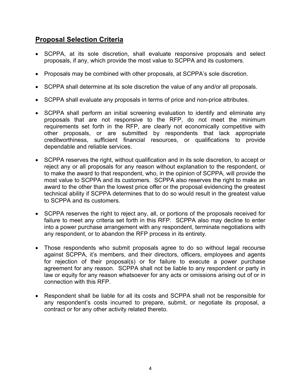### **Proposal Selection Criteria**

- SCPPA, at its sole discretion, shall evaluate responsive proposals and select proposals, if any, which provide the most value to SCPPA and its customers.
- Proposals may be combined with other proposals, at SCPPA's sole discretion.
- SCPPA shall determine at its sole discretion the value of any and/or all proposals.
- SCPPA shall evaluate any proposals in terms of price and non-price attributes.
- SCPPA shall perform an initial screening evaluation to identify and eliminate any proposals that are not responsive to the RFP, do not meet the minimum requirements set forth in the RFP, are clearly not economically competitive with other proposals, or are submitted by respondents that lack appropriate creditworthiness, sufficient financial resources, or qualifications to provide dependable and reliable services.
- SCPPA reserves the right, without qualification and in its sole discretion, to accept or reject any or all proposals for any reason without explanation to the respondent, or to make the award to that respondent, who, in the opinion of SCPPA, will provide the most value to SCPPA and its customers. SCPPA also reserves the right to make an award to the other than the lowest price offer or the proposal evidencing the greatest technical ability if SCPPA determines that to do so would result in the greatest value to SCPPA and its customers.
- SCPPA reserves the right to reject any, all, or portions of the proposals received for failure to meet any criteria set forth in this RFP. SCPPA also may decline to enter into a power purchase arrangement with any respondent, terminate negotiations with any respondent, or to abandon the RFP process in its entirety.
- Those respondents who submit proposals agree to do so without legal recourse against SCPPA, it's members, and their directors, officers, employees and agents for rejection of their proposal(s) or for failure to execute a power purchase agreement for any reason. SCPPA shall not be liable to any respondent or party in law or equity for any reason whatsoever for any acts or omissions arising out of or in connection with this RFP.
- Respondent shall be liable for all its costs and SCPPA shall not be responsible for any respondent's costs incurred to prepare, submit, or negotiate its proposal, a contract or for any other activity related thereto.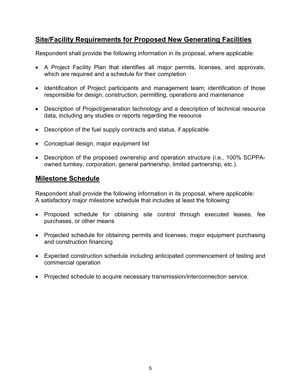## **Site/Facility Requirements for Proposed New Generating Facilities**

Respondent shall provide the following information in its proposal, where applicable:

- A Project Facility Plan that identifies all major permits, licenses, and approvals, which are required and a schedule for their completion
- Identification of Project participants and management team; identification of those responsible for design, construction, permitting, operations and maintenance
- Description of Project/generation technology and a description of technical resource data, including any studies or reports regarding the resource
- Description of the fuel supply contracts and status, if applicable
- Conceptual design, major equipment list
- Description of the proposed ownership and operation structure (i.e., 100% SCPPAowned turnkey, corporation, general partnership, limited partnership, etc.).

#### **Milestone Schedule**

Respondent shall provide the following information in its proposal, where applicable: A satisfactory major milestone schedule that includes at least the following:

- Proposed schedule for obtaining site control through executed leases, fee purchases, or other means
- Projected schedule for obtaining permits and licenses, major equipment purchasing and construction financing
- Expected construction schedule including anticipated commencement of testing and commercial operation
- Projected schedule to acquire necessary transmission/interconnection service.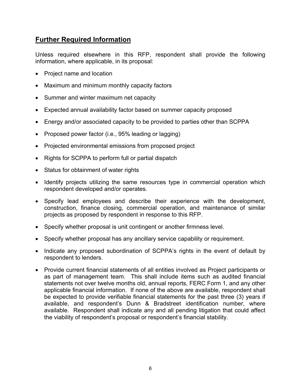### **Further Required Information**

Unless required elsewhere in this RFP, respondent shall provide the following information, where applicable, in its proposal:

- Project name and location
- Maximum and minimum monthly capacity factors
- Summer and winter maximum net capacity
- Expected annual availability factor based on summer capacity proposed
- Energy and/or associated capacity to be provided to parties other than SCPPA
- Proposed power factor (i.e., 95% leading or lagging)
- Projected environmental emissions from proposed project
- Rights for SCPPA to perform full or partial dispatch
- Status for obtainment of water rights
- Identify projects utilizing the same resources type in commercial operation which respondent developed and/or operates.
- Specify lead employees and describe their experience with the development, construction, finance closing, commercial operation, and maintenance of similar projects as proposed by respondent in response to this RFP.
- Specify whether proposal is unit contingent or another firmness level.
- Specify whether proposal has any ancillary service capability or requirement.
- Indicate any proposed subordination of SCPPA's rights in the event of default by respondent to lenders.
- Provide current financial statements of all entities involved as Project participants or as part of management team. This shall include items such as audited financial statements not over twelve months old, annual reports, FERC Form 1, and any other applicable financial information. If none of the above are available, respondent shall be expected to provide verifiable financial statements for the past three (3) years if available, and respondent's Dunn & Bradstreet identification number, where available. Respondent shall indicate any and all pending litigation that could affect the viability of respondent's proposal or respondent's financial stability.